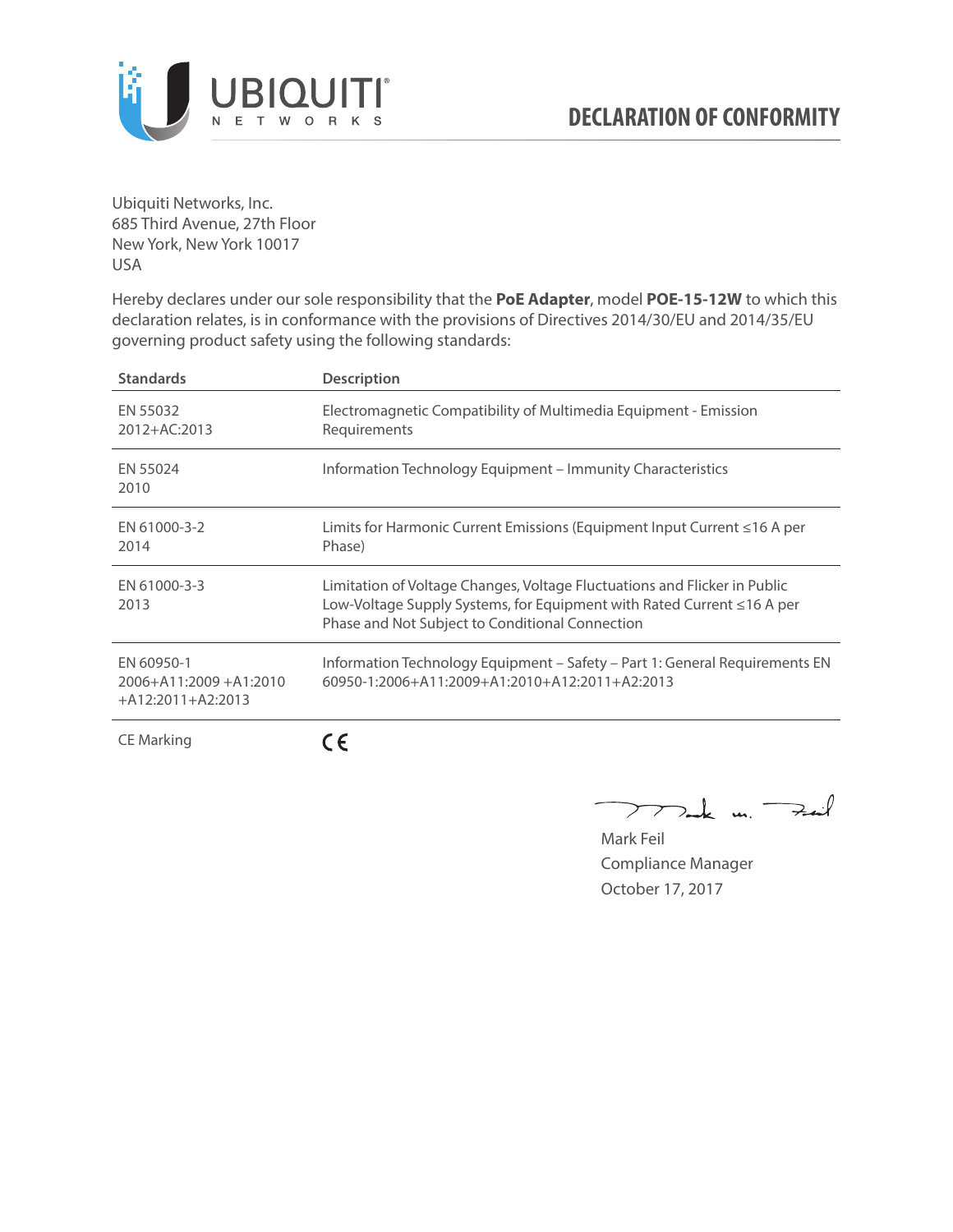

Ubiquiti Networks, Inc. 685 Third Avenue, 27th Floor New York, New York 10017 USA

Hereby declares under our sole responsibility that the **PoE Adapter**, model **POE-15-12W** to which this declaration relates, is in conformance with the provisions of Directives 2014/30/EU and 2014/35/EU governing product safety using the following standards:

| <b>Standards</b>                                                 | <b>Description</b>                                                                                                                                                                                     |
|------------------------------------------------------------------|--------------------------------------------------------------------------------------------------------------------------------------------------------------------------------------------------------|
| EN 55032<br>2012+AC:2013                                         | Electromagnetic Compatibility of Multimedia Equipment - Emission<br>Requirements                                                                                                                       |
| EN 55024<br>2010                                                 | Information Technology Equipment – Immunity Characteristics                                                                                                                                            |
| EN 61000-3-2<br>2014                                             | Limits for Harmonic Current Emissions (Equipment Input Current ≤16 A per<br>Phase)                                                                                                                     |
| EN 61000-3-3<br>2013                                             | Limitation of Voltage Changes, Voltage Fluctuations and Flicker in Public<br>Low-Voltage Supply Systems, for Equipment with Rated Current ≤16 A per<br>Phase and Not Subject to Conditional Connection |
| EN 60950-1<br>$2006 + A11:2009 + A1:2010$<br>$+A12:2011+A2:2013$ | Information Technology Equipment - Safety - Part 1: General Requirements EN<br>$60950 - 1:2006 + A11:2009 + A1:2010 + A12:2011 + A2:2013$                                                              |
| <b>CE Marking</b>                                                |                                                                                                                                                                                                        |

Dark m. Fail  $\rightarrow$ 

Mark Feil Compliance Manager October 17, 2017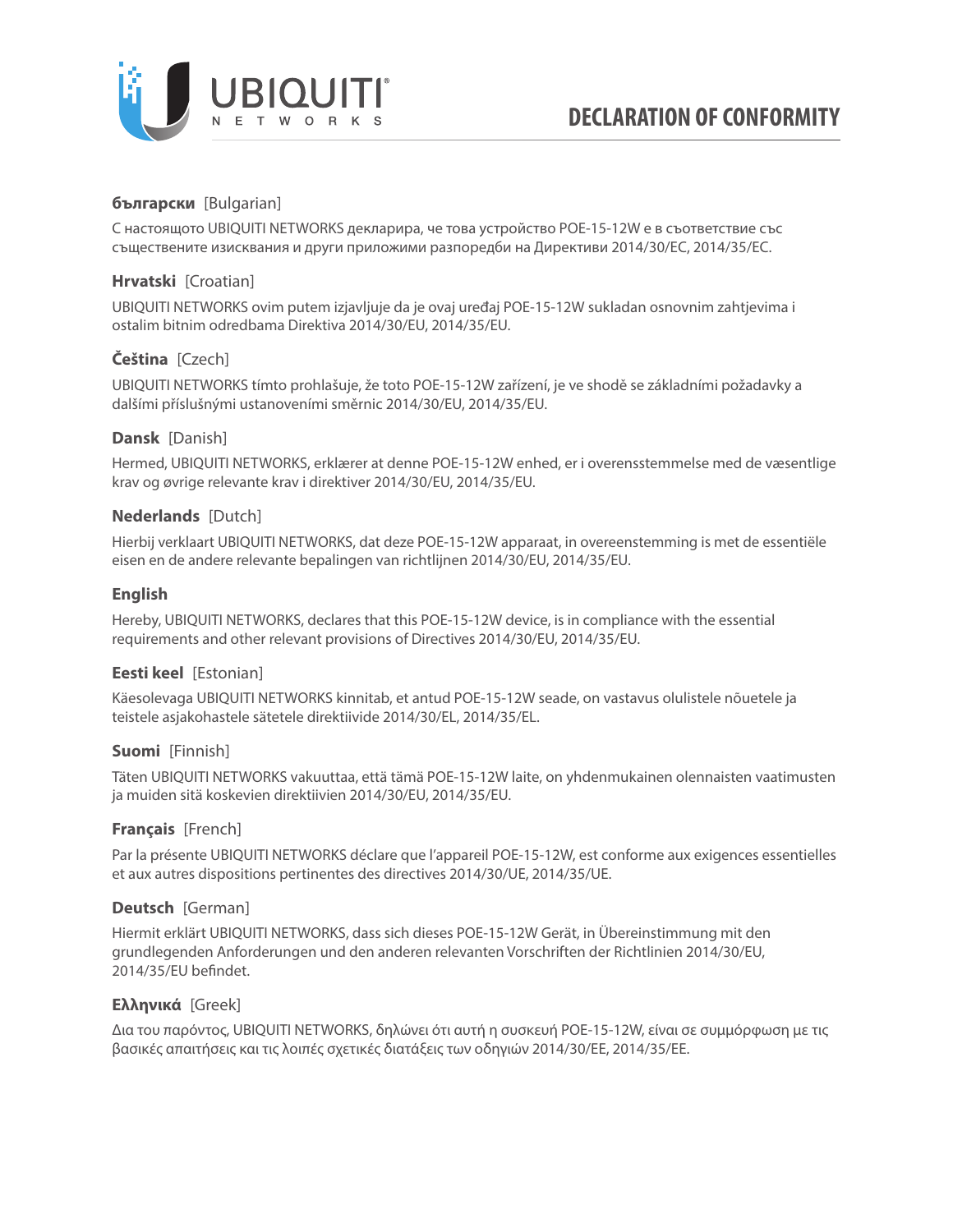

# **български** [Bulgarian]

С настоящото UBIQUITI NETWORKS декларира, че това устройство POE-15-12W е в съответствие със съществените изисквания и други приложими разпоредби на Директиви 2014/30/ЕС, 2014/35/ЕС.

# **Hrvatski** [Croatian]

UBIQUITI NETWORKS ovim putem izjavljuje da je ovaj uređaj POE-15-12W sukladan osnovnim zahtjevima i ostalim bitnim odredbama Direktiva 2014/30/EU, 2014/35/EU.

# **Čeština** [Czech]

UBIQUITI NETWORKS tímto prohlašuje, že toto POE-15-12W zařízení, je ve shodě se základními požadavky a dalšími příslušnými ustanoveními směrnic 2014/30/EU, 2014/35/EU.

## **Dansk** [Danish]

Hermed, UBIQUITI NETWORKS, erklærer at denne POE-15-12W enhed, er i overensstemmelse med de væsentlige krav og øvrige relevante krav i direktiver 2014/30/EU, 2014/35/EU.

## **Nederlands** [Dutch]

Hierbij verklaart UBIQUITI NETWORKS, dat deze POE-15-12W apparaat, in overeenstemming is met de essentiële eisen en de andere relevante bepalingen van richtlijnen 2014/30/EU, 2014/35/EU.

## **English**

Hereby, UBIQUITI NETWORKS, declares that this POE-15-12W device, is in compliance with the essential requirements and other relevant provisions of Directives 2014/30/EU, 2014/35/EU.

# **Eesti keel** [Estonian]

Käesolevaga UBIQUITI NETWORKS kinnitab, et antud POE-15-12W seade, on vastavus olulistele nõuetele ja teistele asjakohastele sätetele direktiivide 2014/30/EL, 2014/35/EL.

### **Suomi** [Finnish]

Täten UBIQUITI NETWORKS vakuuttaa, että tämä POE-15-12W laite, on yhdenmukainen olennaisten vaatimusten ja muiden sitä koskevien direktiivien 2014/30/EU, 2014/35/EU.

# **Français** [French]

Par la présente UBIQUITI NETWORKS déclare que l'appareil POE-15-12W, est conforme aux exigences essentielles et aux autres dispositions pertinentes des directives 2014/30/UE, 2014/35/UE.

### **Deutsch** [German]

Hiermit erklärt UBIQUITI NETWORKS, dass sich dieses POE-15-12W Gerät, in Übereinstimmung mit den grundlegenden Anforderungen und den anderen relevanten Vorschriften der Richtlinien 2014/30/EU, 2014/35/EU befindet.

### **Ελληνικά** [Greek]

Δια του παρόντος, UBIQUITI NETWORKS, δηλώνει ότι αυτή η συσκευή POE-15-12W, είναι σε συμμόρφωση με τις βασικές απαιτήσεις και τις λοιπές σχετικές διατάξεις των οδηγιών 2014/30/EE, 2014/35/EE.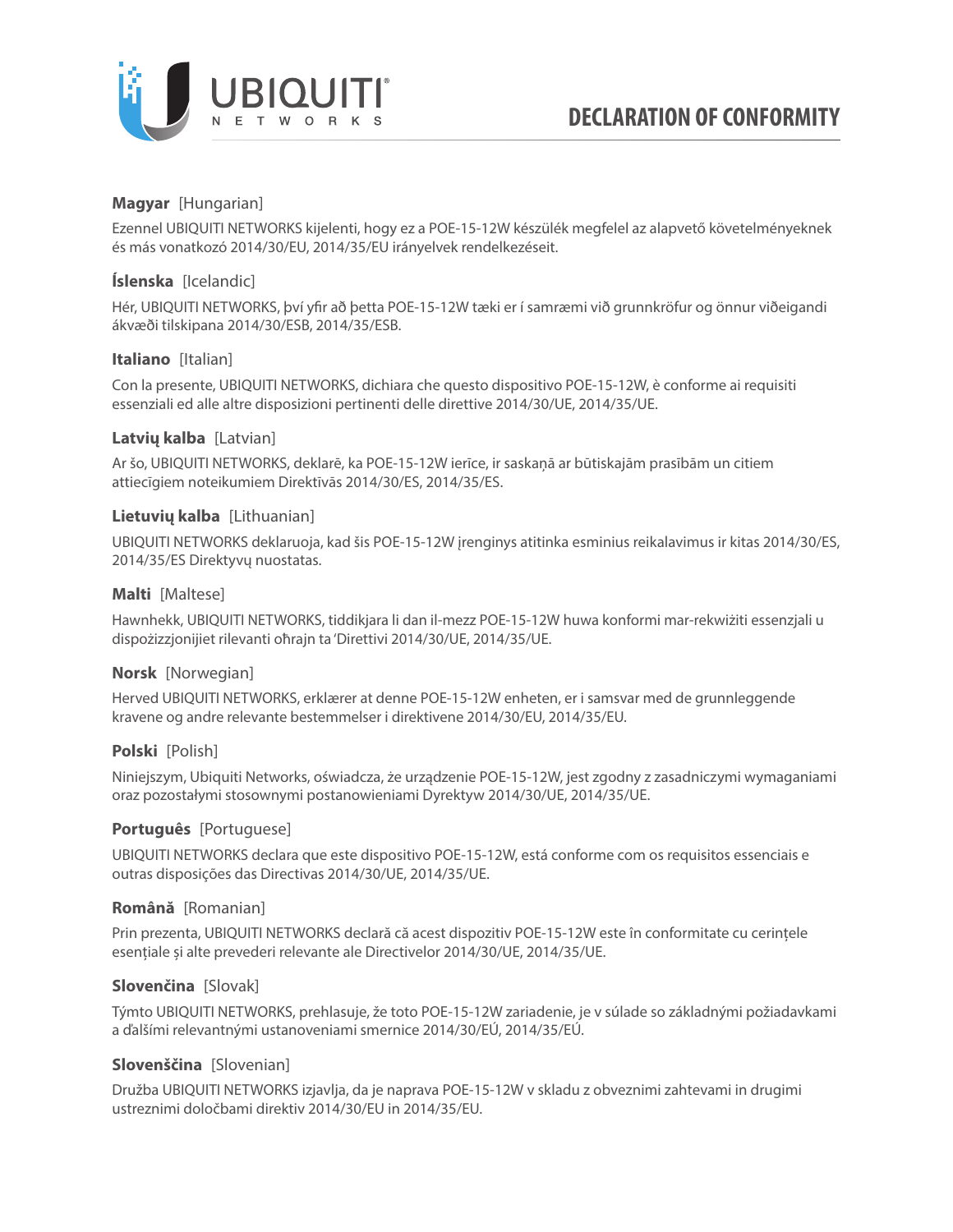

# **Magyar** [Hungarian]

Ezennel UBIQUITI NETWORKS kijelenti, hogy ez a POE-15-12W készülék megfelel az alapvető követelményeknek és más vonatkozó 2014/30/EU, 2014/35/EU irányelvek rendelkezéseit.

# **Íslenska** [Icelandic]

Hér, UBIQUITI NETWORKS, því yfir að þetta POE-15-12W tæki er í samræmi við grunnkröfur og önnur viðeigandi ákvæði tilskipana 2014/30/ESB, 2014/35/ESB.

## **Italiano** [Italian]

Con la presente, UBIQUITI NETWORKS, dichiara che questo dispositivo POE-15-12W, è conforme ai requisiti essenziali ed alle altre disposizioni pertinenti delle direttive 2014/30/UE, 2014/35/UE.

## **Latvių kalba** [Latvian]

Ar šo, UBIQUITI NETWORKS, deklarē, ka POE-15-12W ierīce, ir saskaņā ar būtiskajām prasībām un citiem attiecīgiem noteikumiem Direktīvās 2014/30/ES, 2014/35/ES.

## **Lietuvių kalba** [Lithuanian]

UBIQUITI NETWORKS deklaruoja, kad šis POE-15-12W įrenginys atitinka esminius reikalavimus ir kitas 2014/30/ES, 2014/35/ES Direktyvų nuostatas.

## **Malti** [Maltese]

Hawnhekk, UBIQUITI NETWORKS, tiddikjara li dan il-mezz POE-15-12W huwa konformi mar-rekwiżiti essenzjali u dispożizzjonijiet rilevanti oħrajn ta 'Direttivi 2014/30/UE, 2014/35/UE.

### **Norsk** [Norwegian]

Herved UBIQUITI NETWORKS, erklærer at denne POE-15-12W enheten, er i samsvar med de grunnleggende kravene og andre relevante bestemmelser i direktivene 2014/30/EU, 2014/35/EU.

### **Polski** [Polish]

Niniejszym, Ubiquiti Networks, oświadcza, że urządzenie POE-15-12W, jest zgodny z zasadniczymi wymaganiami oraz pozostałymi stosownymi postanowieniami Dyrektyw 2014/30/UE, 2014/35/UE.

### **Português** [Portuguese]

UBIQUITI NETWORKS declara que este dispositivo POE-15-12W, está conforme com os requisitos essenciais e outras disposições das Directivas 2014/30/UE, 2014/35/UE.

### **Română** [Romanian]

Prin prezenta, UBIQUITI NETWORKS declară că acest dispozitiv POE-15-12W este în conformitate cu cerințele esențiale și alte prevederi relevante ale Directivelor 2014/30/UE, 2014/35/UE.

# **Slovenčina** [Slovak]

Týmto UBIQUITI NETWORKS, prehlasuje, že toto POE-15-12W zariadenie, je v súlade so základnými požiadavkami a ďalšími relevantnými ustanoveniami smernice 2014/30/EÚ, 2014/35/EÚ.

### **Slovenščina** [Slovenian]

Družba UBIQUITI NETWORKS izjavlja, da je naprava POE-15-12W v skladu z obveznimi zahtevami in drugimi ustreznimi določbami direktiv 2014/30/EU in 2014/35/EU.